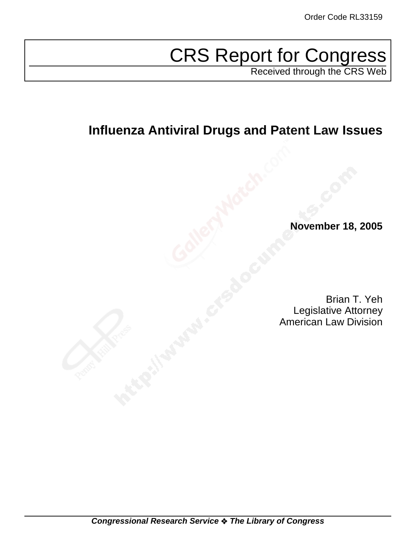# CRS Report for Congress

Received through the CRS Web

# **Influenza Antiviral Drugs and Patent Law Issues**

**November 18, 2005**

Brian T. Yeh Legislative Attorney American Law Division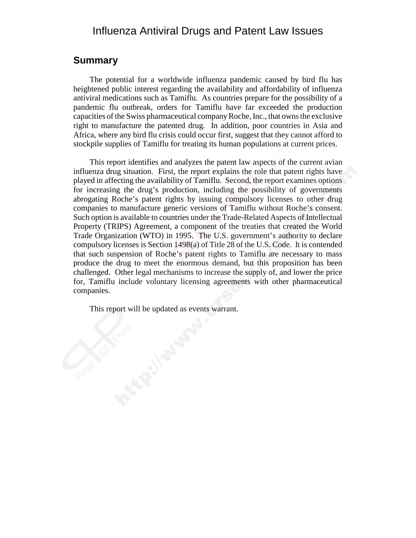# Influenza Antiviral Drugs and Patent Law Issues

### **Summary**

The potential for a worldwide influenza pandemic caused by bird flu has heightened public interest regarding the availability and affordability of influenza antiviral medications such as Tamiflu. As countries prepare for the possibility of a pandemic flu outbreak, orders for Tamiflu have far exceeded the production capacities of the Swiss pharmaceutical company Roche, Inc., that owns the exclusive right to manufacture the patented drug. In addition, poor countries in Asia and Africa, where any bird flu crisis could occur first, suggest that they cannot afford to stockpile supplies of Tamiflu for treating its human populations at current prices.

This report identifies and analyzes the patent law aspects of the current avian influenza drug situation. First, the report explains the role that patent rights have played in affecting the availability of Tamiflu. Second, the report examines options for increasing the drug's production, including the possibility of governments abrogating Roche's patent rights by issuing compulsory licenses to other drug companies to manufacture generic versions of Tamiflu without Roche's consent. Such option is available to countries under the Trade-Related Aspects of Intellectual Property (TRIPS) Agreement, a component of the treaties that created the World Trade Organization (WTO) in 1995. The U.S. government's authority to declare compulsory licenses is Section 1498(a) of Title 28 of the U.S. Code. It is contended that such suspension of Roche's patent rights to Tamiflu are necessary to mass produce the drug to meet the enormous demand, but this proposition has been challenged. Other legal mechanisms to increase the supply of, and lower the price for, Tamiflu include voluntary licensing agreements with other pharmaceutical companies.

This report will be updated as events warrant.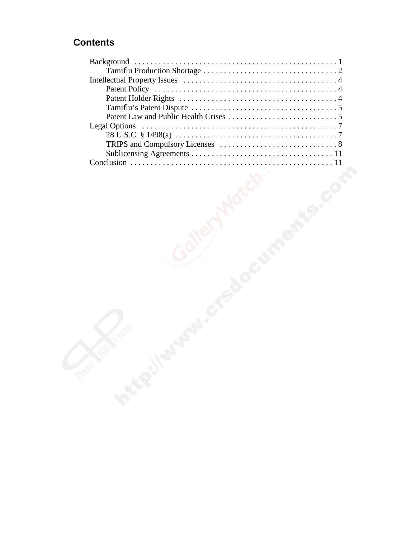# **Contents**

| <b>Legal Options</b> |  |  |
|----------------------|--|--|
|                      |  |  |
|                      |  |  |
|                      |  |  |
|                      |  |  |
|                      |  |  |
|                      |  |  |
|                      |  |  |
|                      |  |  |
|                      |  |  |
|                      |  |  |
|                      |  |  |
|                      |  |  |
|                      |  |  |
|                      |  |  |
|                      |  |  |
|                      |  |  |
|                      |  |  |
|                      |  |  |
|                      |  |  |
|                      |  |  |
|                      |  |  |
|                      |  |  |
|                      |  |  |
| <b>Processity</b>    |  |  |
|                      |  |  |
|                      |  |  |
|                      |  |  |
|                      |  |  |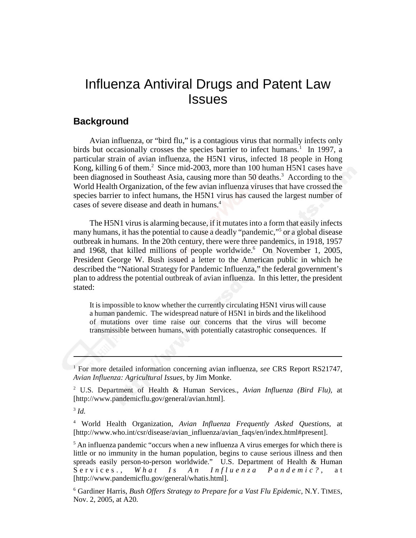# Influenza Antiviral Drugs and Patent Law **Issues**

# **Background**

Avian influenza, or "bird flu," is a contagious virus that normally infects only birds but occasionally crosses the species barrier to infect humans.<sup>1</sup> In 1997, a particular strain of avian influenza, the H5N1 virus, infected 18 people in Hong Kong, killing 6 of them.<sup>2</sup> Since mid-2003, more than 100 human H5N1 cases have been diagnosed in Southeast Asia, causing more than 50 deaths.<sup>3</sup> According to the World Health Organization, of the few avian influenza viruses that have crossed the species barrier to infect humans, the H5N1 virus has caused the largest number of cases of severe disease and death in humans.4

The H5N1 virus is alarming because, if it mutates into a form that easily infects many humans, it has the potential to cause a deadly "pandemic,"5 or a global disease outbreak in humans. In the 20th century, there were three pandemics, in 1918, 1957 and 1968, that killed millions of people worldwide.<sup>6</sup> On November 1, 2005, President George W. Bush issued a letter to the American public in which he described the "National Strategy for Pandemic Influenza," the federal government's plan to address the potential outbreak of avian influenza. In this letter, the president stated:

It is impossible to know whether the currently circulating H5N1 virus will cause a human pandemic. The widespread nature of H5N1 in birds and the likelihood of mutations over time raise our concerns that the virus will become transmissible between humans, with potentially catastrophic consequences. If

<sup>&</sup>lt;sup>1</sup> For more detailed information concerning avian influenza, see CRS Report RS21747, *Avian Influenza: Agricultural Issues,* by Jim Monke.

<sup>2</sup> U.S. Department of Health & Human Services., *Avian Influenza (Bird Flu),* at [http://www.pandemicflu.gov/general/avian.html].

<sup>3</sup> *Id.*

<sup>4</sup> World Health Organization, *Avian Influenza Frequently Asked Questions,* at [http://www.who.int/csr/disease/avian\_influenza/avian\_faqs/en/index.html#present].

<sup>&</sup>lt;sup>5</sup> An influenza pandemic "occurs when a new influenza A virus emerges for which there is little or no immunity in the human population, begins to cause serious illness and then spreads easily person-to-person worldwide." U.S. Department of Health & Human Services., *What Is An Influenza Pandemic?* , at [http://www.pandemicflu.gov/general/whatis.html].

<sup>6</sup> Gardiner Harris, *Bush Offers Strategy to Prepare for a Vast Flu Epidemic,* N.Y. TIMES, Nov. 2, 2005, at A20.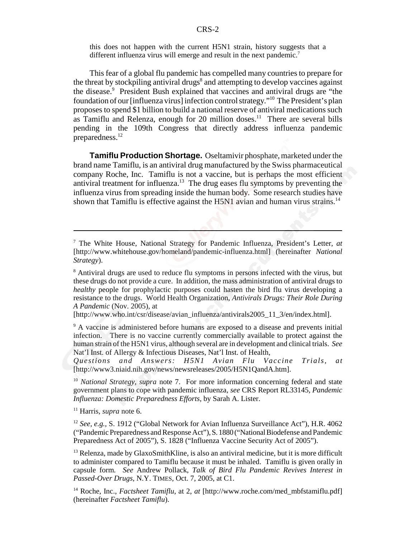this does not happen with the current H5N1 strain, history suggests that a different influenza virus will emerge and result in the next pandemic.<sup>7</sup>

This fear of a global flu pandemic has compelled many countries to prepare for the threat by stockpiling antiviral drugs<sup>8</sup> and attempting to develop vaccines against the disease.<sup>9</sup> President Bush explained that vaccines and antiviral drugs are "the foundation of our [influenza virus] infection control strategy."10 The President's plan proposes to spend \$1 billion to build a national reserve of antiviral medications such as Tamiflu and Relenza, enough for 20 million doses.<sup>11</sup> There are several bills pending in the 109th Congress that directly address influenza pandemic preparedness.12

**Tamiflu Production Shortage.** Oseltamivir phosphate, marketed under the brand name Tamiflu, is an antiviral drug manufactured by the Swiss pharmaceutical company Roche, Inc. Tamiflu is not a vaccine, but is perhaps the most efficient antiviral treatment for influenza.<sup>13</sup> The drug eases flu symptoms by preventing the influenza virus from spreading inside the human body. Some research studies have shown that Tamiflu is effective against the H5N1 avian and human virus strains.<sup>14</sup>

[http://www.who.int/csr/disease/avian\_influenza/antivirals2005\_11\_3/en/index.html].

<sup>9</sup> A vaccine is administered before humans are exposed to a disease and prevents initial infection. There is no vaccine currently commercially available to protect against the human strain of the H5N1 virus, although several are in development and clinical trials. *See* Nat'l Inst. of Allergy & Infectious Diseases, Nat'l Inst. of Health,

*Questions and Answers: H5N1 Avian Flu Vaccine Trials, at* [http://www3.niaid.nih.gov/news/newsreleases/2005/H5N1QandA.htm].

<sup>10</sup> *National Strategy, supra* note 7. For more information concerning federal and state government plans to cope with pandemic influenza, *see* CRS Report RL33145, *Pandemic Influenza: Domestic Preparedness Efforts,* by Sarah A. Lister.

11 Harris, *supra* note 6.

<sup>12</sup> *See, e.g.,* S. 1912 ("Global Network for Avian Influenza Surveillance Act"), H.R. 4062 ("Pandemic Preparedness and Response Act"), S. 1880 ("National Biodefense and Pandemic Preparedness Act of 2005"), S. 1828 ("Influenza Vaccine Security Act of 2005").

 $<sup>13</sup>$  Relenza, made by GlaxoSmithKline, is also an antiviral medicine, but it is more difficult</sup> to administer compared to Tamiflu because it must be inhaled. Tamiflu is given orally in capsule form. *See* Andrew Pollack, *Talk of Bird Flu Pandemic Revives Interest in Passed-Over Drugs,* N.Y. TIMES, Oct. 7, 2005, at C1.

<sup>14</sup> Roche, Inc., *Factsheet Tamiflu*, at 2, *at* [http://www.roche.com/med\_mbfstamiflu.pdf] (hereinafter *Factsheet Tamiflu*).

<sup>7</sup> The White House, National Strategy for Pandemic Influenza, President's Letter, *at* [http://www.whitehouse.gov/homeland/pandemic-influenza.html] (hereinafter *National Strategy*).

<sup>&</sup>lt;sup>8</sup> Antiviral drugs are used to reduce flu symptoms in persons infected with the virus, but these drugs do not provide a cure. In addition, the mass administration of antiviral drugs to *healthy* people for prophylactic purposes could hasten the bird flu virus developing a resistance to the drugs. World Health Organization, *Antivirals Drugs: Their Role During A Pandemic* (Nov. 2005), at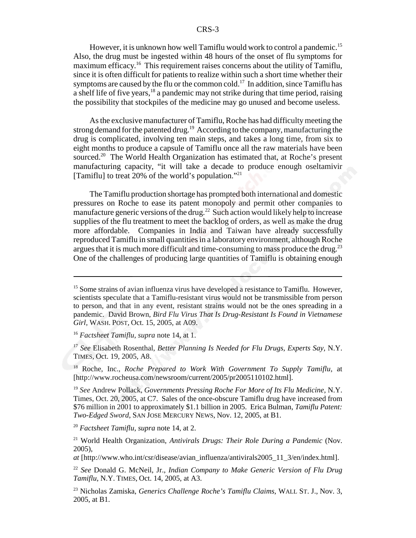#### CRS-3

However, it is unknown how well Tamiflu would work to control a pandemic.<sup>15</sup> Also, the drug must be ingested within 48 hours of the onset of flu symptoms for maximum efficacy.<sup>16</sup> This requirement raises concerns about the utility of Tamiflu, since it is often difficult for patients to realize within such a short time whether their symptoms are caused by the flu or the common cold.<sup>17</sup> In addition, since Tamiflu has a shelf life of five years,18 a pandemic may not strike during that time period, raising the possibility that stockpiles of the medicine may go unused and become useless.

As the exclusive manufacturer of Tamiflu, Roche has had difficulty meeting the strong demand for the patented drug.<sup>19</sup> According to the company, manufacturing the drug is complicated, involving ten main steps, and takes a long time, from six to eight months to produce a capsule of Tamiflu once all the raw materials have been sourced.<sup>20</sup> The World Health Organization has estimated that, at Roche's present manufacturing capacity, "it will take a decade to produce enough oseltamivir [Tamiflu] to treat 20% of the world's population."<sup>21</sup>

The Tamiflu production shortage has prompted both international and domestic pressures on Roche to ease its patent monopoly and permit other companies to manufacture generic versions of the drug.<sup>22</sup> Such action would likely help to increase supplies of the flu treatment to meet the backlog of orders, as well as make the drug more affordable. Companies in India and Taiwan have already successfully reproduced Tamiflu in small quantities in a laboratory environment, although Roche argues that it is much more difficult and time-consuming to mass produce the drug.<sup>23</sup> One of the challenges of producing large quantities of Tamiflu is obtaining enough

<sup>16</sup> *Factsheet Tamiflu, supra* note 14, at 1.

<sup>17</sup> *See* Elisabeth Rosenthal, *Better Planning Is Needed for Flu Drugs, Experts Say,* N.Y. TIMES, Oct. 19, 2005, A8.

18 Roche, Inc., *Roche Prepared to Work With Government To Supply Tamiflu,* at [http://www.rocheusa.com/newsroom/current/2005/pr2005110102.html].

<sup>19</sup> *See* Andrew Pollack, *Governments Pressing Roche For More of Its Flu Medicine,* N.Y. Times, Oct. 20, 2005, at C7. Sales of the once-obscure Tamiflu drug have increased from \$76 million in 2001 to approximately \$1.1 billion in 2005. Erica Bulman, *Tamiflu Patent: Two-Edged Sword*, SAN JOSE MERCURY NEWS, Nov. 12, 2005, at B1.

<sup>20</sup> *Factsheet Tamiflu*, *supra* note 14, at 2.

21 World Health Organization, *Antivirals Drugs: Their Role During a Pandemic* (Nov. 2005),

*at* [http://www.who.int/csr/disease/avian\_influenza/antivirals2005\_11\_3/en/index.html].

 $15$  Some strains of avian influenza virus have developed a resistance to Tamiflu. However, scientists speculate that a Tamiflu-resistant virus would not be transmissible from person to person, and that in any event, resistant strains would not be the ones spreading in a pandemic. David Brown, *Bird Flu Virus That Is Drug-Resistant Is Found in Vietnamese Girl,* WASH. POST, Oct. 15, 2005, at A09.

<sup>22</sup> *See* Donald G. McNeil, Jr., *Indian Company to Make Generic Version of Flu Drug Tamiflu*, N.Y. TIMES, Oct. 14, 2005, at A3.

<sup>23</sup> Nicholas Zamiska, *Generics Challenge Roche's Tamiflu Claims*, WALL ST. J., Nov. 3, 2005, at B1.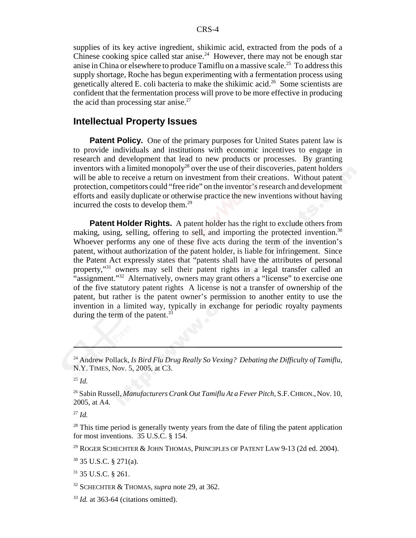supplies of its key active ingredient, shikimic acid, extracted from the pods of a Chinese cooking spice called star anise.<sup>24</sup> However, there may not be enough star anise in China or elsewhere to produce Tamiflu on a massive scale.<sup>25</sup> To address this supply shortage, Roche has begun experimenting with a fermentation process using genetically altered E. coli bacteria to make the shikimic acid.26 Some scientists are confident that the fermentation process will prove to be more effective in producing the acid than processing star anise. $27$ 

# **Intellectual Property Issues**

**Patent Policy.** One of the primary purposes for United States patent law is to provide individuals and institutions with economic incentives to engage in research and development that lead to new products or processes. By granting inventors with a limited monopoly<sup>28</sup> over the use of their discoveries, patent holders will be able to receive a return on investment from their creations. Without patent protection, competitors could "free ride" on the inventor's research and development efforts and easily duplicate or otherwise practice the new inventions without having incurred the costs to develop them. $^{29}$ 

**Patent Holder Rights.** A patent holder has the right to exclude others from making, using, selling, offering to sell, and importing the protected invention.<sup>30</sup> Whoever performs any one of these five acts during the term of the invention's patent, without authorization of the patent holder, is liable for infringement. Since the Patent Act expressly states that "patents shall have the attributes of personal property,"31 owners may sell their patent rights in a legal transfer called an "assignment."<sup>32</sup> Alternatively, owners may grant others a "license" to exercise one of the five statutory patent rights A license is not a transfer of ownership of the patent, but rather is the patent owner's permission to another entity to use the invention in a limited way, typically in exchange for periodic royalty payments during the term of the patent. $33$ 

 $28$  This time period is generally twenty years from the date of filing the patent application for most inventions. 35 U.S.C. § 154.

<sup>29</sup> ROGER SCHECHTER & JOHN THOMAS, PRINCIPLES OF PATENT LAW 9-13 (2d ed. 2004).

30 35 U.S.C. § 271(a).

31 35 U.S.C. § 261.

<sup>24</sup> Andrew Pollack, *Is Bird Flu Drug Really So Vexing? Debating the Difficulty of Tamiflu*, N.Y. TIMES, Nov. 5, 2005, at C3.

<sup>25</sup> *Id.*

<sup>26</sup> Sabin Russell, *Manufacturers Crank Out Tamiflu At a Fever Pitch,* S.F.CHRON.,Nov. 10, 2005, at A4.

<sup>27</sup> *Id.*

<sup>32</sup> SCHECHTER & THOMAS, *supra* note 29, at 362.

<sup>&</sup>lt;sup>33</sup> *Id.* at 363-64 (citations omitted).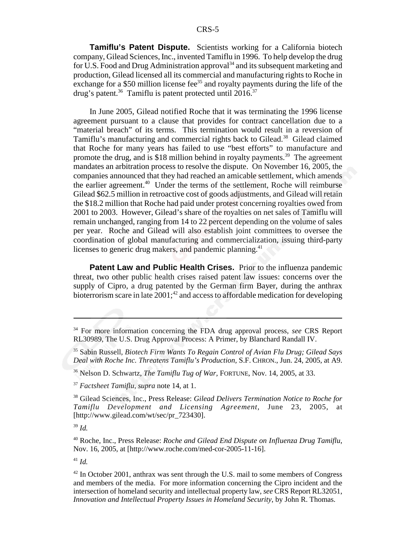**Tamiflu's Patent Dispute.** Scientists working for a California biotech company, Gilead Sciences, Inc., invented Tamiflu in 1996. To help develop the drug for U.S. Food and Drug Administration approval<sup>34</sup> and its subsequent marketing and production, Gilead licensed all its commercial and manufacturing rights to Roche in exchange for a \$50 million license fee<sup>35</sup> and royalty payments during the life of the drug's patent. $36$  Tamiflu is patent protected until 2016. $37$ 

In June 2005, Gilead notified Roche that it was terminating the 1996 license agreement pursuant to a clause that provides for contract cancellation due to a "material breach" of its terms. This termination would result in a reversion of Tamiflu's manufacturing and commercial rights back to Gilead.<sup>38</sup> Gilead claimed that Roche for many years has failed to use "best efforts" to manufacture and promote the drug, and is \$18 million behind in royalty payments.<sup>39</sup> The agreement mandates an arbitration process to resolve the dispute. On November 16, 2005, the companies announced that they had reached an amicable settlement, which amends the earlier agreement.<sup>40</sup> Under the terms of the settlement, Roche will reimburse Gilead \$62.5 million in retroactive cost of goods adjustments, and Gilead will retain the \$18.2 million that Roche had paid under protest concerning royalties owed from 2001 to 2003. However, Gilead's share of the royalties on net sales of Tamiflu will remain unchanged, ranging from 14 to 22 percent depending on the volume of sales per year. Roche and Gilead will also establish joint committees to oversee the coordination of global manufacturing and commercialization, issuing third-party licenses to generic drug makers, and pandemic planning. $41$ 

**Patent Law and Public Health Crises.** Prior to the influenza pandemic threat, two other public health crises raised patent law issues: concerns over the supply of Cipro, a drug patented by the German firm Bayer, during the anthrax bioterrorism scare in late  $2001$ ;<sup>42</sup> and access to affordable medication for developing

<sup>39</sup> *Id.*

40 Roche, Inc., Press Release: *Roche and Gilead End Dispute on Influenza Drug Tamiflu*, Nov. 16, 2005, at [http://www.roche.com/med-cor-2005-11-16].

<sup>41</sup> *Id.*

<sup>34</sup> For more information concerning the FDA drug approval process, *see* CRS Report RL30989, The U.S. Drug Approval Process: A Primer, by Blanchard Randall IV.

<sup>35</sup> Sabin Russell, *Biotech Firm Wants To Regain Control of Avian Flu Drug; Gilead Says Deal with Roche Inc. Threatens Tamiflu's Production,* S.F. CHRON., Jun. 24, 2005, at A9.

<sup>36</sup> Nelson D. Schwartz, *The Tamiflu Tug of War,* FORTUNE, Nov. 14, 2005, at 33.

<sup>37</sup> *Factsheet Tamiflu*, *supra* note 14, at 1.

<sup>38</sup> Gilead Sciences, Inc., Press Release: *Gilead Delivers Termination Notice to Roche for Tamiflu Development and Licensing Agreement,* June 23, 2005, at [http://www.gilead.com/wt/sec/pr\_723430].

<sup>42</sup> In October 2001, anthrax was sent through the U.S. mail to some members of Congress and members of the media. For more information concerning the Cipro incident and the intersection of homeland security and intellectual property law, *see* CRS Report RL32051, *Innovation and Intellectual Property Issues in Homeland Security*, by John R. Thomas.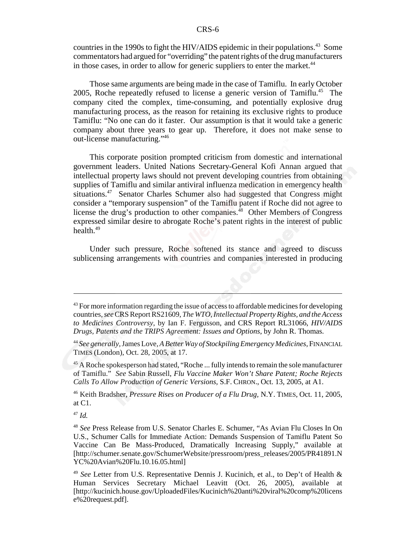countries in the 1990s to fight the HIV/AIDS epidemic in their populations.<sup>43</sup> Some commentators had argued for "overriding" the patent rights of the drug manufacturers in those cases, in order to allow for generic suppliers to enter the market.<sup>44</sup>

Those same arguments are being made in the case of Tamiflu. In early October 2005, Roche repeatedly refused to license a generic version of Tamiflu.<sup>45</sup> The company cited the complex, time-consuming, and potentially explosive drug manufacturing process, as the reason for retaining its exclusive rights to produce Tamiflu: "No one can do it faster. Our assumption is that it would take a generic company about three years to gear up. Therefore, it does not make sense to out-license manufacturing."46

This corporate position prompted criticism from domestic and international government leaders. United Nations Secretary-General Kofi Annan argued that intellectual property laws should not prevent developing countries from obtaining supplies of Tamiflu and similar antiviral influenza medication in emergency health situations.<sup>47</sup> Senator Charles Schumer also had suggested that Congress might consider a "temporary suspension" of the Tamiflu patent if Roche did not agree to license the drug's production to other companies.<sup>48</sup> Other Members of Congress expressed similar desire to abrogate Roche's patent rights in the interest of public health. $49$ 

Under such pressure, Roche softened its stance and agreed to discuss sublicensing arrangements with countries and companies interested in producing

<sup>47</sup> *Id.*

 $43$  For more information regarding the issue of access to affordable medicines for developing countries, *see* CRS Report RS21609, *The WTO, Intellectual Property Rights, and the Access to Medicines Controversy*, by Ian F. Fergusson, and CRS Report RL31066, *HIV/AIDS Drugs, Patents and the TRIPS Agreement: Issues and Options*, by John R. Thomas.

<sup>44</sup> *See generally,* James Love, *A Better Way of Stockpiling Emergency Medicines,* FINANCIAL TIMES (London), Oct. 28, 2005, at 17.

<sup>&</sup>lt;sup>45</sup> A Roche spokesperson had stated, "Roche ... fully intends to remain the sole manufacturer of Tamiflu." *See* Sabin Russell, *Flu Vaccine Maker Won't Share Patent; Roche Rejects Calls To Allow Production of Generic Versions,* S.F. CHRON., Oct. 13, 2005, at A1.

<sup>46</sup> Keith Bradsher, *Pressure Rises on Producer of a Flu Drug,* N.Y. TIMES, Oct. 11, 2005, at C1.

<sup>48</sup> *See* Press Release from U.S. Senator Charles E. Schumer, "As Avian Flu Closes In On U.S., Schumer Calls for Immediate Action: Demands Suspension of Tamiflu Patent So Vaccine Can Be Mass-Produced, Dramatically Increasing Supply," available at [http://schumer.senate.gov/SchumerWebsite/pressroom/press\_releases/2005/PR41891.N YC%20Avian%20Flu.10.16.05.html]

<sup>&</sup>lt;sup>49</sup> See Letter from U.S. Representative Dennis J. Kucinich, et al., to Dep't of Health & Human Services Secretary Michael Leavitt (Oct. 26, 2005), available at [http://kucinich.house.gov/UploadedFiles/Kucinich%20anti%20viral%20comp%20licens e%20request.pdf].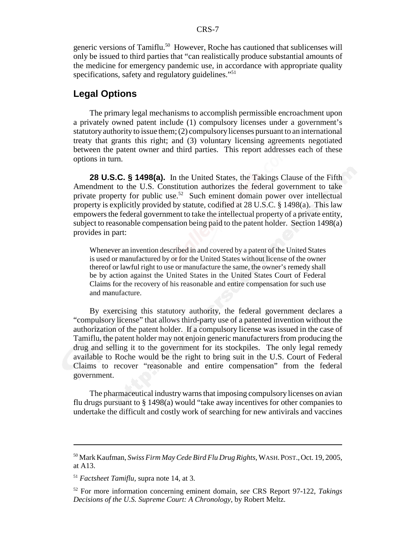generic versions of Tamiflu.<sup>50</sup> However, Roche has cautioned that sublicenses will only be issued to third parties that "can realistically produce substantial amounts of the medicine for emergency pandemic use, in accordance with appropriate quality specifications, safety and regulatory guidelines."<sup>51</sup>

# **Legal Options**

The primary legal mechanisms to accomplish permissible encroachment upon a privately owned patent include (1) compulsory licenses under a government's statutory authority to issue them; (2) compulsory licenses pursuant to an international treaty that grants this right; and (3) voluntary licensing agreements negotiated between the patent owner and third parties. This report addresses each of these options in turn.

**28 U.S.C. § 1498(a).** In the United States, the Takings Clause of the Fifth Amendment to the U.S. Constitution authorizes the federal government to take private property for public use.<sup>52</sup> Such eminent domain power over intellectual property is explicitly provided by statute, codified at 28 U.S.C. § 1498(a). This law empowers the federal government to take the intellectual property of a private entity, subject to reasonable compensation being paid to the patent holder. Section 1498(a) provides in part:

Whenever an invention described in and covered by a patent of the United States is used or manufactured by or for the United States without license of the owner thereof or lawful right to use or manufacture the same, the owner's remedy shall be by action against the United States in the United States Court of Federal Claims for the recovery of his reasonable and entire compensation for such use and manufacture.

By exercising this statutory authority, the federal government declares a "compulsory license" that allows third-party use of a patented invention without the authorization of the patent holder. If a compulsory license was issued in the case of Tamiflu, the patent holder may not enjoin generic manufacturers from producing the drug and selling it to the government for its stockpiles. The only legal remedy available to Roche would be the right to bring suit in the U.S. Court of Federal Claims to recover "reasonable and entire compensation" from the federal government.

The pharmaceutical industry warns that imposing compulsory licenses on avian flu drugs pursuant to § 1498(a) would "take away incentives for other companies to undertake the difficult and costly work of searching for new antivirals and vaccines

<sup>50</sup> Mark Kaufman, *Swiss Firm May Cede Bird Flu Drug Rights*, WASH.POST.,Oct. 19, 2005, at A13.

<sup>51</sup> *Factsheet Tamiflu,* supra note 14, at 3.

<sup>52</sup> For more information concerning eminent domain, *see* CRS Report 97-122, *Takings Decisions of the U.S. Supreme Court: A Chronology,* by Robert Meltz.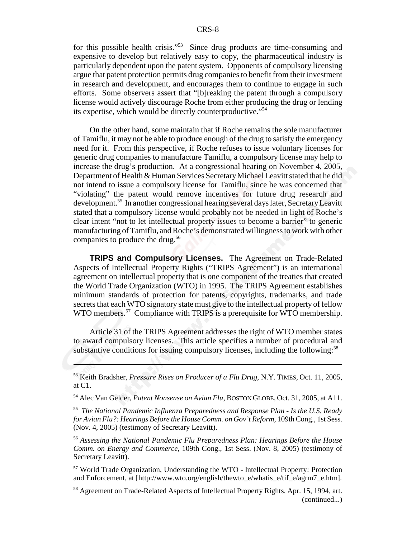for this possible health crisis."53 Since drug products are time-consuming and expensive to develop but relatively easy to copy, the pharmaceutical industry is particularly dependent upon the patent system. Opponents of compulsory licensing argue that patent protection permits drug companies to benefit from their investment in research and development, and encourages them to continue to engage in such efforts. Some observers assert that "[b]reaking the patent through a compulsory license would actively discourage Roche from either producing the drug or lending its expertise, which would be directly counterproductive."54

On the other hand, some maintain that if Roche remains the sole manufacturer of Tamiflu, it may not be able to produce enough of the drug to satisfy the emergency need for it. From this perspective, if Roche refuses to issue voluntary licenses for generic drug companies to manufacture Tamiflu, a compulsory license may help to increase the drug's production. At a congressional hearing on November 4, 2005, Department of Health & Human Services Secretary Michael Leavitt stated that he did not intend to issue a compulsory license for Tamiflu, since he was concerned that "violating" the patent would remove incentives for future drug research and development.55 In another congressional hearing several days later, Secretary Leavitt stated that a compulsory license would probably not be needed in light of Roche's clear intent "not to let intellectual property issues to become a barrier" to generic manufacturing of Tamiflu, and Roche's demonstrated willingness to work with other companies to produce the drug.<sup>56</sup>

**TRIPS and Compulsory Licenses.** The Agreement on Trade-Related Aspects of Intellectual Property Rights ("TRIPS Agreement") is an international agreement on intellectual property that is one component of the treaties that created the World Trade Organization (WTO) in 1995. The TRIPS Agreement establishes minimum standards of protection for patents, copyrights, trademarks, and trade secrets that each WTO signatory state must give to the intellectual property of fellow WTO members.<sup>57</sup> Compliance with TRIPS is a prerequisite for WTO membership.

Article 31 of the TRIPS Agreement addresses the right of WTO member states to award compulsory licenses. This article specifies a number of procedural and substantive conditions for issuing compulsory licenses, including the following:<sup>58</sup>

57 World Trade Organization, Understanding the WTO - Intellectual Property: Protection and Enforcement, at [http://www.wto.org/english/thewto\_e/whatis\_e/tif\_e/agrm7\_e.htm].

<sup>53</sup> Keith Bradsher, *Pressure Rises on Producer of a Flu Drug,* N.Y. TIMES, Oct. 11, 2005, at C1.

<sup>54</sup> Alec Van Gelder, *Patent Nonsense on Avian Flu*, BOSTON GLOBE, Oct. 31, 2005, at A11.

<sup>55</sup> *The National Pandemic Influenza Preparedness and Response Plan - Is the U.S. Ready for Avian Flu?: Hearings Before the House Comm. on Gov't Reform,* 109th Cong., 1st Sess. (Nov. 4, 2005) (testimony of Secretary Leavitt).

<sup>56</sup> *Assessing the National Pandemic Flu Preparedness Plan: Hearings Before the House Comm. on Energy and Commerce,* 109th Cong., 1st Sess. (Nov. 8, 2005) (testimony of Secretary Leavitt).

<sup>&</sup>lt;sup>58</sup> Agreement on Trade-Related Aspects of Intellectual Property Rights, Apr. 15, 1994, art. (continued...)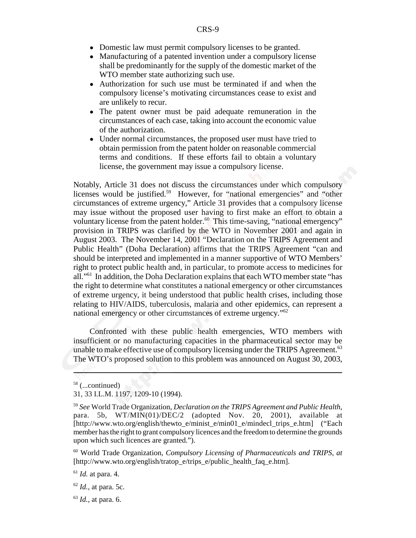- Domestic law must permit compulsory licenses to be granted.
- Manufacturing of a patented invention under a compulsory license shall be predominantly for the supply of the domestic market of the WTO member state authorizing such use.
- ! Authorization for such use must be terminated if and when the compulsory license's motivating circumstances cease to exist and are unlikely to recur.
- ! The patent owner must be paid adequate remuneration in the circumstances of each case, taking into account the economic value of the authorization.
- Under normal circumstances, the proposed user must have tried to obtain permission from the patent holder on reasonable commercial terms and conditions. If these efforts fail to obtain a voluntary license, the government may issue a compulsory license.

Notably, Article 31 does not discuss the circumstances under which compulsory licenses would be justified.<sup>59</sup> However, for "national emergencies" and "other circumstances of extreme urgency," Article 31 provides that a compulsory license may issue without the proposed user having to first make an effort to obtain a voluntary license from the patent holder.<sup>60</sup> This time-saving, "national emergency" provision in TRIPS was clarified by the WTO in November 2001 and again in August 2003. The November 14, 2001 "Declaration on the TRIPS Agreement and Public Health" (Doha Declaration) affirms that the TRIPS Agreement "can and should be interpreted and implemented in a manner supportive of WTO Members' right to protect public health and, in particular, to promote access to medicines for all."61 In addition, the Doha Declaration explains that each WTO member state "has the right to determine what constitutes a national emergency or other circumstances of extreme urgency, it being understood that public health crises, including those relating to HIV/AIDS, tuberculosis, malaria and other epidemics, can represent a national emergency or other circumstances of extreme urgency.<sup>"62</sup>

Confronted with these public health emergencies, WTO members with insufficient or no manufacturing capacities in the pharmaceutical sector may be unable to make effective use of compulsory licensing under the TRIPS Agreement.<sup>63</sup> The WTO's proposed solution to this problem was announced on August 30, 2003,

<sup>63</sup> *Id.,* at para. 6.

<sup>58 (...</sup>continued)

<sup>31, 33</sup> I.L.M. 1197, 1209-10 (1994).

<sup>59</sup> *See* World Trade Organization, *Declaration on the TRIPS Agreement and Public Health,* para. 5b, WT/MIN(01)/DEC/2 (adopted Nov. 20, 2001), available at [http://www.wto.org/english/thewto\_e/minist\_e/min01\_e/mindecl\_trips\_e.htm] ("Each member has the right to grant compulsory licences and the freedom to determine the grounds upon which such licences are granted.").

<sup>60</sup> World Trade Organization, *Compulsory Licensing of Pharmaceuticals and TRIPS, at* [http://www.wto.org/english/tratop\_e/trips\_e/public\_health\_faq\_e.htm].

 $<sup>61</sup>$  *Id.* at para. 4.</sup>

<sup>62</sup> *Id.,* at para. 5c.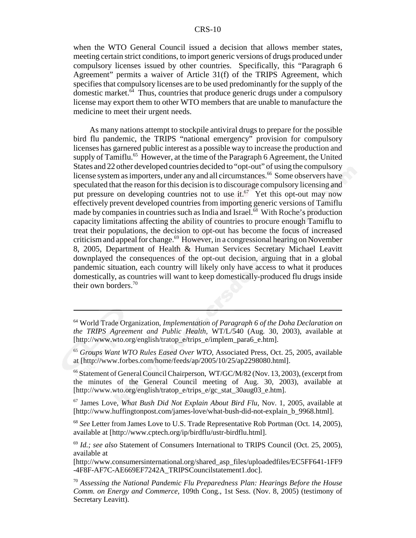#### CRS-10

when the WTO General Council issued a decision that allows member states, meeting certain strict conditions, to import generic versions of drugs produced under compulsory licenses issued by other countries. Specifically, this "Paragraph 6 Agreement" permits a waiver of Article 31(f) of the TRIPS Agreement, which specifies that compulsory licenses are to be used predominantly for the supply of the domestic market.64 Thus, countries that produce generic drugs under a compulsory license may export them to other WTO members that are unable to manufacture the medicine to meet their urgent needs.

As many nations attempt to stockpile antiviral drugs to prepare for the possible bird flu pandemic, the TRIPS "national emergency" provision for compulsory licenses has garnered public interest as a possible way to increase the production and supply of Tamiflu.<sup>65</sup> However, at the time of the Paragraph 6 Agreement, the United States and 22 other developed countries decided to "opt-out" of using the compulsory license system as importers, under any and all circumstances.<sup>66</sup> Some observers have speculated that the reason for this decision is to discourage compulsory licensing and put pressure on developing countries not to use it.<sup>67</sup> Yet this opt-out may now effectively prevent developed countries from importing generic versions of Tamiflu made by companies in countries such as India and Israel.<sup>68</sup> With Roche's production capacity limitations affecting the ability of countries to procure enough Tamiflu to treat their populations, the decision to opt-out has become the focus of increased criticism and appeal for change.<sup>69</sup> However, in a congressional hearing on November 8, 2005, Department of Health & Human Services Secretary Michael Leavitt downplayed the consequences of the opt-out decision, arguing that in a global pandemic situation, each country will likely only have access to what it produces domestically, as countries will want to keep domestically-produced flu drugs inside their own borders.<sup>70</sup>

<sup>64</sup> World Trade Organization, *Implementation of Paragraph 6 of the Doha Declaration on the TRIPS Agreement and Public Health,* WT/L/540 (Aug. 30, 2003), available at [http://www.wto.org/english/tratop\_e/trips\_e/implem\_para6\_e.htm].

<sup>65</sup> *Groups Want WTO Rules Eased Over WTO*, Associated Press, Oct. 25, 2005, available at [http://www.forbes.com/home/feeds/ap/2005/10/25/ap2298080.html].

<sup>66</sup> Statement of General Council Chairperson*,* WT/GC/M/82 (Nov. 13, 2003), (excerpt from the minutes of the General Council meeting of Aug. 30, 2003), available at [http://www.wto.org/english/tratop\_e/trips\_e/gc\_stat\_30aug03\_e.htm].

<sup>67</sup> James Love, *What Bush Did Not Explain About Bird Flu*, Nov. 1, 2005, available at [http://www.huffingtonpost.com/james-love/what-bush-did-not-explain\_b\_9968.html].

<sup>68</sup> *See* Letter from James Love to U.S. Trade Representative Rob Portman (Oct. 14, 2005), available at [http://www.cptech.org/ip/birdflu/ustr-birdflu.html].

<sup>69</sup> *Id.; see also* Statement of Consumers International to TRIPS Council (Oct. 25, 2005), available at

<sup>[</sup>http://www.consumersinternational.org/shared\_asp\_files/uploadedfiles/EC5FF641-1FF9 -4F8F-AF7C-AE669EF7242A\_TRIPSCouncilstatement1.doc].

<sup>70</sup> *Assessing the National Pandemic Flu Preparedness Plan: Hearings Before the House Comm. on Energy and Commerce,* 109th Cong., 1st Sess. (Nov. 8, 2005) (testimony of Secretary Leavitt).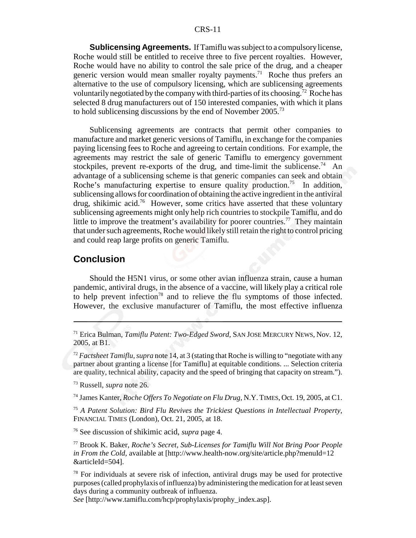#### CRS-11

**Sublicensing Agreements.** If Tamiflu was subject to a compulsory license, Roche would still be entitled to receive three to five percent royalties. However, Roche would have no ability to control the sale price of the drug, and a cheaper generic version would mean smaller royalty payments.<sup>71</sup> Roche thus prefers an alternative to the use of compulsory licensing, which are sublicensing agreements voluntarily negotiated by the company with third-parties of its choosing.<sup>72</sup> Roche has selected 8 drug manufacturers out of 150 interested companies, with which it plans to hold sublicensing discussions by the end of November 2005.73

Sublicensing agreements are contracts that permit other companies to manufacture and market generic versions of Tamiflu, in exchange for the companies paying licensing fees to Roche and agreeing to certain conditions. For example, the agreements may restrict the sale of generic Tamiflu to emergency government stockpiles, prevent re-exports of the drug, and time-limit the sublicense.<sup>74</sup> An advantage of a sublicensing scheme is that generic companies can seek and obtain Roche's manufacturing expertise to ensure quality production.<sup>75</sup> In addition, sublicensing allows for coordination of obtaining the active ingredient in the antiviral drug, shikimic acid.76 However, some critics have asserted that these voluntary sublicensing agreements might only help rich countries to stockpile Tamiflu, and do little to improve the treatment's availability for poorer countries.<sup>77</sup> They maintain that under such agreements, Roche would likely still retain the right to control pricing and could reap large profits on generic Tamiflu.

### **Conclusion**

Should the H5N1 virus, or some other avian influenza strain, cause a human pandemic, antiviral drugs, in the absence of a vaccine, will likely play a critical role to help prevent infection<sup>78</sup> and to relieve the flu symptoms of those infected. However, the exclusive manufacturer of Tamiflu, the most effective influenza

<sup>75</sup> *A Patent Solution: Bird Flu Revives the Trickiest Questions in Intellectual Property*, FINANCIAL TIMES (London), Oct. 21, 2005, at 18.

76 See discussion of shikimic acid, *supra* page 4.

*See* [http://www.tamiflu.com/hcp/prophylaxis/prophy\_index.asp].

<sup>71</sup> Erica Bulman, *Tamiflu Patent: Two-Edged Sword,* SAN JOSE MERCURY NEWS, Nov. 12, 2005, at B1.

<sup>72</sup> *Factsheet Tamiflu*, *supra* note 14, at 3 (stating that Roche is willing to "negotiate with any partner about granting a license [for Tamiflu] at equitable conditions. ... Selection criteria are quality, technical ability, capacity and the speed of bringing that capacity on stream.").

<sup>73</sup> Russell, *supra* note 26.

<sup>74</sup> James Kanter, *Roche Offers To Negotiate on Flu Drug,* N.Y. TIMES, Oct. 19, 2005, at C1.

<sup>77</sup> Brook K. Baker, *Roche's Secret, Sub-Licenses for Tamiflu Will Not Bring Poor People in From the Cold,* available at [http://www.health-now.org/site/article.php?menuId=12 &articleId=504].

 $78$  For individuals at severe risk of infection, antiviral drugs may be used for protective purposes (called prophylaxis of influenza) by administering the medication for at least seven days during a community outbreak of influenza.